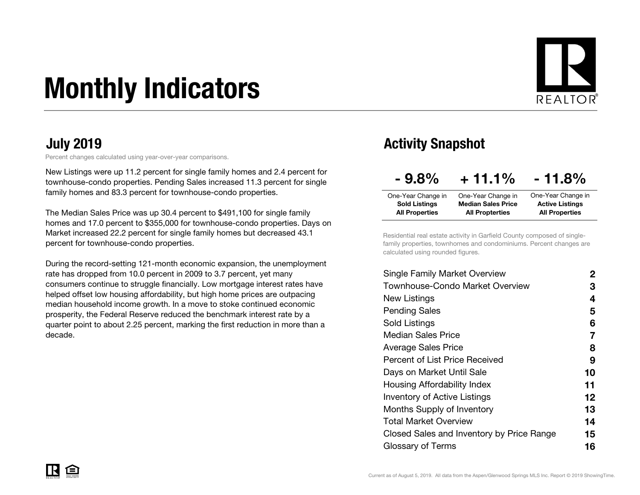# Monthly Indicators



Percent changes calculated using year-over-year comparisons.

New Listings were up 11.2 percent for single family homes and 2.4 percent for townhouse-condo properties. Pending Sales increased 11.3 percent for single family homes and 83.3 percent for townhouse-condo properties.

The Median Sales Price was up 30.4 percent to \$491,100 for single family homes and 17.0 percent to \$355,000 for townhouse-condo properties. Days on Market increased 22.2 percent for single family homes but decreased 43.1 percent for townhouse-condo properties.

During the record-setting 121-month economic expansion, the unemployment rate has dropped from 10.0 percent in 2009 to 3.7 percent, yet many consumers continue to struggle financially. Low mortgage interest rates have helped offset low housing affordability, but high home prices are outpacing median household income growth. In a move to stoke continued economic prosperity, the Federal Reserve reduced the benchmark interest rate by a quarter point to about 2.25 percent, marking the first reduction in more than a decade.

#### July 2019 Activity Snapshot

| $-9.8%$               | $+11.1%$                  | $-11.8%$               |
|-----------------------|---------------------------|------------------------|
| One-Year Change in    | One-Year Change in        | One-Year Change in     |
| <b>Sold Listings</b>  | <b>Median Sales Price</b> | <b>Active Listings</b> |
| <b>All Properties</b> | <b>All Propterties</b>    | <b>All Properties</b>  |

Residential real estate activity in Garfield County composed of singlefamily properties, townhomes and condominiums. Percent changes are calculated using rounded figures.

| 2  |
|----|
| З  |
| 4  |
| 5  |
| 6  |
| 7  |
| 8  |
| 9  |
| 10 |
| 11 |
| 12 |
| 13 |
| 14 |
| 15 |
| 16 |
|    |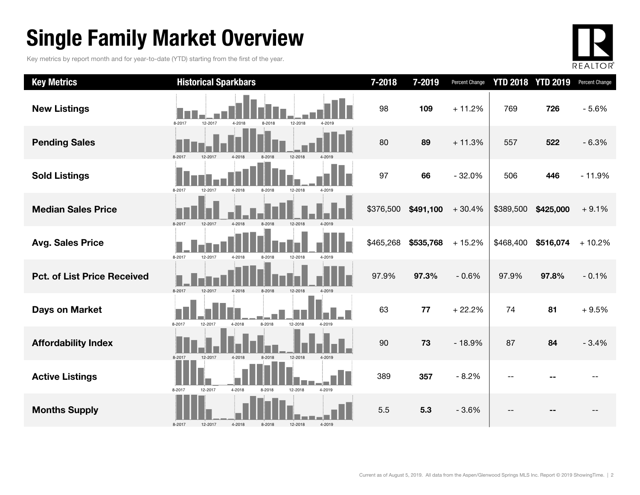### Single Family Market Overview

Key metrics by report month and for year-to-date (YTD) starting from the first of the year.



| <b>Key Metrics</b>                 | <b>Historical Sparkbars</b>                                    | 7-2018    | 7-2019    | <b>Percent Change</b> |           | <b>YTD 2018 YTD 2019</b> | Percent Change |
|------------------------------------|----------------------------------------------------------------|-----------|-----------|-----------------------|-----------|--------------------------|----------------|
| <b>New Listings</b>                | 12-2017<br>8-2017<br>4-2018<br>8-2018<br>12-2018<br>4-2019     | 98        | 109       | $+11.2%$              | 769       | 726                      | $-5.6%$        |
| <b>Pending Sales</b>               | 8-2017<br>4-2018<br>8-2018<br>12-2018<br>12-2017               | 80        | 89        | $+11.3%$              | 557       | 522                      | $-6.3%$        |
| <b>Sold Listings</b>               | 8-2017<br>12-2018<br>12-2017<br>4-2018<br>8-2018<br>4-2019     | 97        | 66        | $-32.0%$              | 506       | 446                      | $-11.9%$       |
| <b>Median Sales Price</b>          | 8-2017<br>12-2017<br>4-2018<br>8-2018<br>12-2018<br>$4 - 201C$ | \$376,500 | \$491,100 | $+30.4%$              | \$389,500 | \$425,000                | $+9.1%$        |
| <b>Avg. Sales Price</b>            | 8-2017<br>12-2017<br>4-2018<br>8-2018<br>12-2018<br>4-2019     | \$465,268 | \$535,768 | $+15.2%$              | \$468,400 | \$516,074                | $+10.2%$       |
| <b>Pct. of List Price Received</b> | 8-2017<br>12-2017<br>4-2018<br>12-2018<br>8-2018<br>$4 - 2019$ | 97.9%     | 97.3%     | $-0.6%$               | 97.9%     | 97.8%                    | $-0.1%$        |
| <b>Days on Market</b>              | 12-2018<br>8-2017<br>4-2018<br>8-2018<br>12-2017<br>4-2019     | 63        | 77        | $+22.2%$              | 74        | 81                       | $+9.5%$        |
| <b>Affordability Index</b>         | 12-2018<br>8-2017<br>12-2017<br>4-2018<br>8-2018<br>4-2019     | 90        | 73        | $-18.9%$              | 87        | 84                       | $-3.4%$        |
| <b>Active Listings</b>             | 12-2017<br>4-2018<br>8-2017<br>12-2018<br>4-2019<br>8-2018     | 389       | 357       | $-8.2%$               |           |                          |                |
| <b>Months Supply</b>               | 4-2018<br>8-2017<br>12-2017<br>8-2018<br>12-2018<br>4-2019     | 5.5       | 5.3       | $-3.6%$               |           |                          |                |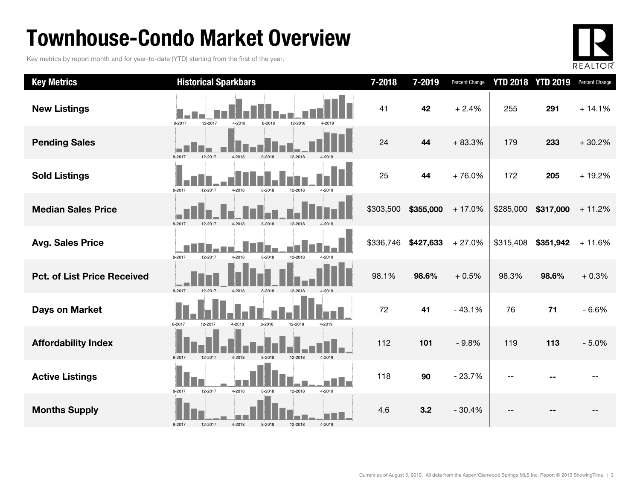### Townhouse-Condo Market Overview

Key metrics by report month and for year-to-date (YTD) starting from the first of the year.



| <b>Key Metrics</b>                 | <b>Historical Sparkbars</b>                                | 7-2018    | 7-2019    | Percent Change |           | <b>YTD 2018 YTD 2019</b> | Percent Change |
|------------------------------------|------------------------------------------------------------|-----------|-----------|----------------|-----------|--------------------------|----------------|
| <b>New Listings</b>                | 8-2017<br>12-2017<br>4-2018<br>8-2018<br>12-2018<br>4-2019 | 41        | 42        | $+2.4%$        | 255       | 291                      | $+14.1%$       |
| <b>Pending Sales</b>               | 8-2017<br>12-2017<br>4-2018<br>8-2018                      | 24        | 44        | $+83.3%$       | 179       | 233                      | $+30.2%$       |
| <b>Sold Listings</b>               | 8-2017<br>12-2017<br>4-2018<br>8-2018<br>12-2018<br>4-2019 | 25        | 44        | $+76.0%$       | 172       | 205                      | $+19.2%$       |
| <b>Median Sales Price</b>          | 8-2017<br>12-2017<br>4-2018<br>8-2018<br>12-2018           | \$303,500 | \$355,000 | $+17.0%$       | \$285,000 | \$317,000                | $+11.2%$       |
| <b>Avg. Sales Price</b>            | 8-2018<br>12-2018<br>8-2017<br>12-2017<br>4-2018<br>4-2019 | \$336,746 | \$427,633 | $+27.0%$       | \$315,408 | \$351,942                | $+11.6%$       |
| <b>Pct. of List Price Received</b> | 4-2018<br>8-2017<br>12-2017<br>8-2018<br>12-2018           | 98.1%     | 98.6%     | $+0.5%$        | 98.3%     | 98.6%                    | $+0.3%$        |
| <b>Days on Market</b>              | 8-2017<br>12-2017<br>4-2018<br>8-2018<br>12-2018<br>4-2019 | 72        | 41        | $-43.1%$       | 76        | $71$                     | $-6.6%$        |
| <b>Affordability Index</b>         | 8-2017<br>12-2017<br>4-2018<br>8-2018<br>12-2018<br>4-2019 | 112       | 101       | $-9.8%$        | 119       | 113                      | $-5.0%$        |
| <b>Active Listings</b>             | 8-2017<br>12-2017<br>4-2018<br>8-2018<br>12-2018<br>4-2019 | 118       | 90        | $-23.7%$       |           |                          |                |
| <b>Months Supply</b>               | 4-2019<br>8-2017<br>12-2017<br>4-2018<br>8-2018<br>12-2018 | 4.6       | 3.2       | $-30.4%$       |           |                          |                |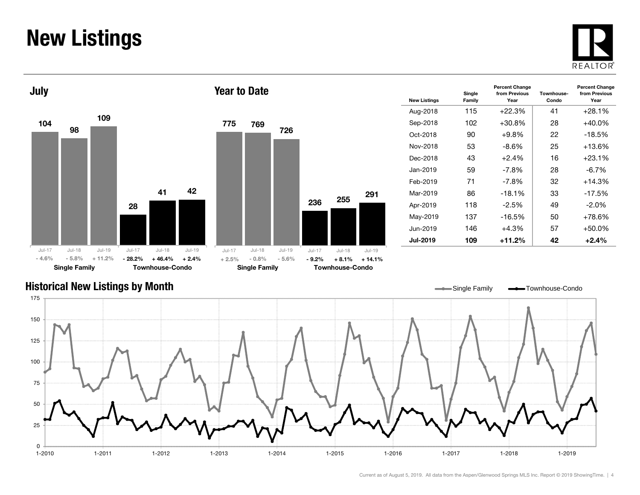#### New Listings







| <b>New Listings</b> | Single<br>Family | <b>Percent Change</b><br>from Previous<br>Year | Townhouse-<br>Condo | <b>Percent Change</b><br>from Previous<br>Year |
|---------------------|------------------|------------------------------------------------|---------------------|------------------------------------------------|
| Aug-2018            | 115              | $+22.3%$                                       | 41                  | $+28.1%$                                       |
| Sep-2018            | 102              | $+30.8%$                                       | 28                  | $+40.0\%$                                      |
| Oct-2018            | 90               | +9.8%                                          | 22                  | $-18.5%$                                       |
| Nov-2018            | 53               | -8.6%                                          | 25                  | +13.6%                                         |
| Dec-2018            | 43               | $+2.4%$                                        | 16                  | $+23.1%$                                       |
| Jan-2019            | 59               | -7.8%                                          | 28                  | $-6.7\%$                                       |
| Feb-2019            | 71               | -7.8%                                          | 32                  | $+14.3%$                                       |
| Mar-2019            | 86               | $-18.1%$                                       | 33                  | $-17.5%$                                       |
| Apr-2019            | 118              | $-2.5\%$                                       | 49                  | $-2.0\%$                                       |
| May-2019            | 137              | $-16.5%$                                       | 50                  | +78.6%                                         |
| Jun-2019            | 146              | $+4.3%$                                        | 57                  | +50.0%                                         |
| <b>Jul-2019</b>     | 109              | +11.2%                                         | 42                  | $+2.4%$                                        |

#### Historical New Listings by Month

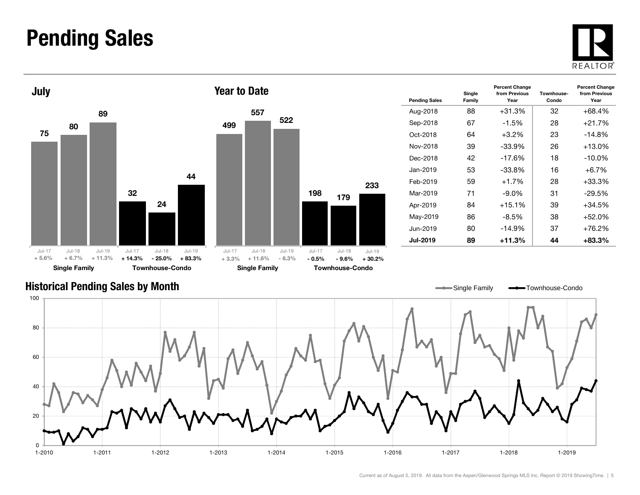#### Pending Sales







| <b>Pending Sales</b> | Single<br>Family | <b>Percent Change</b><br>from Previous<br>Year | Townhouse-<br>Condo | <b>Percent Change</b><br>from Previous<br>Year |
|----------------------|------------------|------------------------------------------------|---------------------|------------------------------------------------|
| Aug-2018             | 88               | $+31.3%$                                       | 32                  | $+68.4%$                                       |
| Sep-2018             | 67               | $-1.5\%$                                       | 28                  | $+21.7%$                                       |
| Oct-2018             | 64               | $+3.2\%$                                       | 23                  | $-14.8\%$                                      |
| Nov-2018             | 39               | -33.9%                                         | 26                  | $+13.0%$                                       |
| Dec-2018             | 42               | $-17.6%$                                       | 18                  | $-10.0\%$                                      |
| Jan-2019             | 53               | -33.8%                                         | 16                  | $+6.7\%$                                       |
| Feb-2019             | 59               | $+1.7%$                                        | 28                  | +33.3%                                         |
| Mar-2019             | 71               | $-9.0\%$                                       | 31                  | $-29.5%$                                       |
| Apr-2019             | 84               | $+15.1%$                                       | 39                  | +34.5%                                         |
| May-2019             | 86               | $-8.5%$                                        | 38                  | $+52.0%$                                       |
| Jun-2019             | 80               | $-14.9%$                                       | 37                  | +76.2%                                         |
| <b>Jul-2019</b>      | 89               | +11.3%                                         | 44                  | +83.3%                                         |

#### Historical Pending Sales by Month

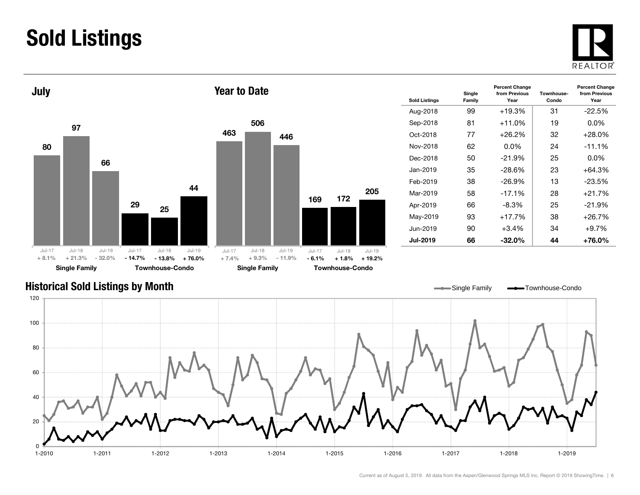### Sold Listings





| <b>Sold Listings</b> | Single<br>Family | <b>Percent Change</b><br>from Previous<br>Year | Townhouse-<br>Condo | <b>Percent Change</b><br>from Previous<br>Year |
|----------------------|------------------|------------------------------------------------|---------------------|------------------------------------------------|
| Aug-2018             | 99               | $+19.3%$                                       | 31                  | $-22.5%$                                       |
| Sep-2018             | 81               | $+11.0%$                                       | 19                  | $0.0\%$                                        |
| Oct-2018             | 77               | $+26.2%$                                       | 32                  | $+28.0%$                                       |
| Nov-2018             | 62               | $0.0\%$                                        | 24                  |                                                |
| Dec-2018             | 50               | $-21.9%$                                       | 25                  | $0.0\%$                                        |
| Jan-2019             | 35               | -28.6%                                         | 23                  | +64.3%                                         |
| Feb-2019             | 38               | $-26.9\%$                                      | 13                  | $-23.5%$                                       |
| Mar-2019             | 58               | $-17.1%$                                       | 28                  | $+21.7%$                                       |
| Apr-2019             | 66               | -8.3%                                          | 25                  | $-21.9\%$                                      |
| May-2019             | 93               | $+17.7%$                                       | 38                  | +26.7%                                         |
| Jun-2019             | 90               | $+3.4%$                                        | 34                  | $+9.7%$                                        |
| <b>Jul-2019</b>      | 66               | $-32.0\%$                                      | 44                  | +76.0%                                         |

#### Historical Sold Listings by Month

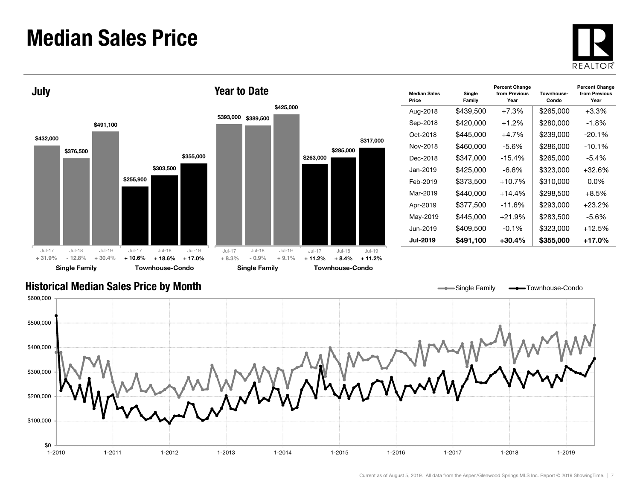#### Median Sales Price





| <b>Median Sales</b><br>Price | Single<br>Family | Townhouse-<br>Condo | <b>Percent Change</b><br>from Previous<br>Year |           |
|------------------------------|------------------|---------------------|------------------------------------------------|-----------|
| Aug-2018                     | \$439,500        | $+7.3%$             | \$265,000                                      | $+3.3\%$  |
| Sep-2018                     | \$420,000        | $+1.2%$             | \$280,000                                      | -1.8%     |
| Oct-2018                     | \$445,000        | $+4.7\%$            | \$239,000                                      | $-20.1\%$ |
| Nov-2018                     | \$460,000        | -5.6%               | \$286,000                                      | $-10.1\%$ |
| Dec-2018                     | \$347,000        | $-15.4%$            | \$265,000                                      | $-5.4%$   |
| Jan-2019                     | \$425,000        | -6.6%               | \$323,000                                      | $+32.6%$  |
| Feb-2019                     | \$373,500        | $+10.7%$            | \$310,000                                      | 0.0%      |
| Mar-2019                     | \$440,000        | $+14.4%$            | \$298,500                                      | $+8.5\%$  |
| Apr-2019                     | \$377,500        | -11.6%              | \$293,000                                      | $+23.2\%$ |
| May-2019                     | \$445,000        | $+21.9%$            | \$283.500                                      | $-5.6%$   |
| Jun-2019                     | \$409,500        | $-0.1%$             | \$323,000                                      | $+12.5%$  |
| <b>Jul-2019</b>              | \$491,100        | +30.4%              | \$355,000                                      | +17.0%    |

Single Family **-**Townhouse-Condo

#### Historical Median Sales Price by Month

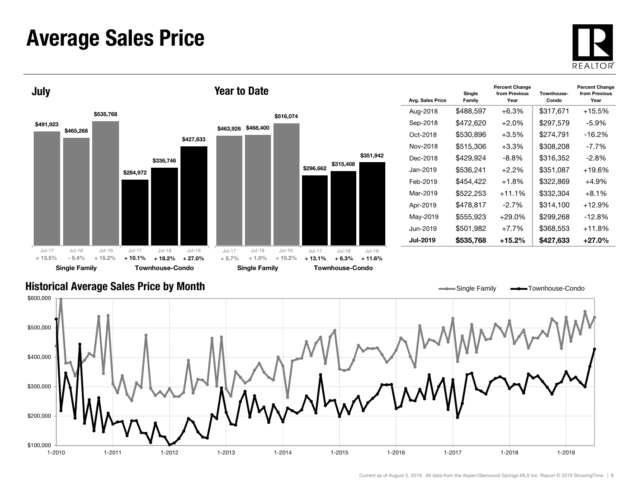#### Average Sales Price





| Avg. Sales Price | Single<br>Family | <b>Percent Change</b><br>from Previous<br>Year | Townhouse-<br>Condo | <b>Percent Change</b><br>from Previous<br>Year |
|------------------|------------------|------------------------------------------------|---------------------|------------------------------------------------|
| Aug-2018         | \$488,597        | $+6.3\%$                                       | \$317,671           | +15.5%                                         |
| Sep-2018         | \$472,620        | $+2.0%$                                        | \$297,579           | $-5.9%$                                        |
| Oct-2018         | \$530.896        | $+3.5%$                                        | \$274.791           | -16.2%                                         |
| Nov-2018         | \$515,306        | $+3.3%$                                        | \$308,208           | $-7.7\%$                                       |
| Dec-2018         | \$429,924        | -8.8%                                          | \$316,352           | $-2.8\%$                                       |
| Jan-2019         | \$536.241        | $+2.2\%$                                       | \$351,087           | +19.6%                                         |
| Feb-2019         | \$454.422        | $+1.8%$                                        | \$322.869           | +4.9%                                          |
| Mar-2019         | \$522,253        | $+11.1%$                                       | \$332,304           | $+8.1%$                                        |
| Apr-2019         | \$478,817        | $-2.7\%$                                       | \$314.100           | +12.9%                                         |
| May-2019         | \$555,923        | $+29.0%$                                       | \$299,268           | $-12.8%$                                       |
| Jun-2019         | \$501,982        | $+7.7%$                                        | \$368,553           | $+11.8%$                                       |
| <b>Jul-2019</b>  | \$535,768        | $+15.2\%$                                      | \$427,633           | +27.0%                                         |

#### Historical Average Sales Price by Month



 $\overline{\phantom{0}}$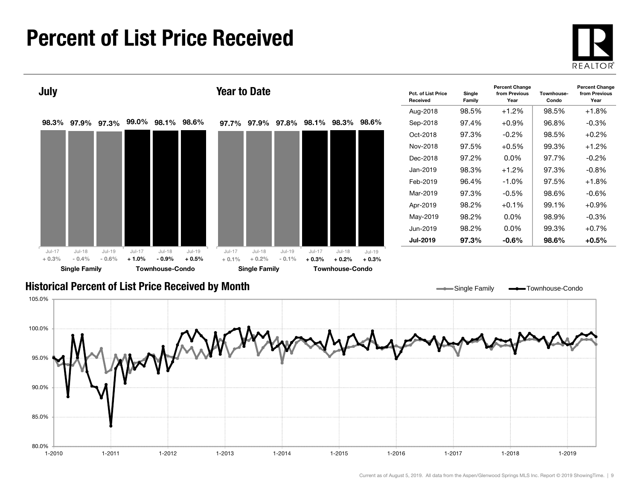#### Percent of List Price Received





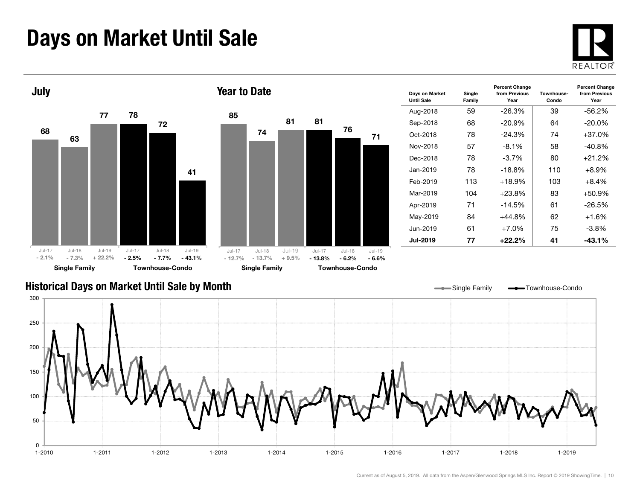### Days on Market Until Sale





#### Historical Days on Market Until Sale by Month



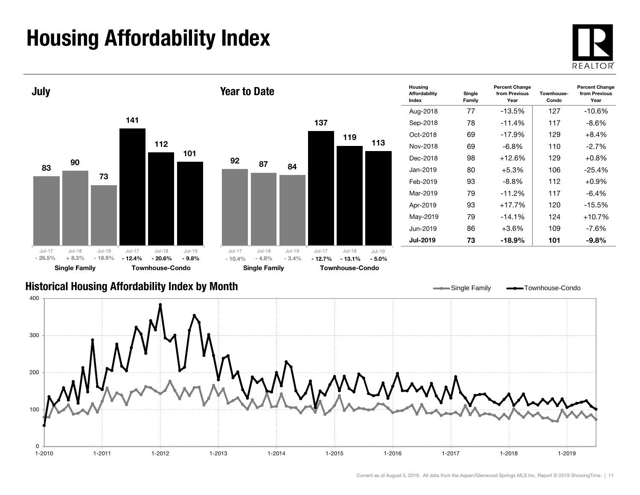## Housing Affordability Index

 $\Omega$ 

100





1-2010 1-2011 1-2012 1-2013 1-2014 1-2015 1-2016 1-2017 1-2018 1-2019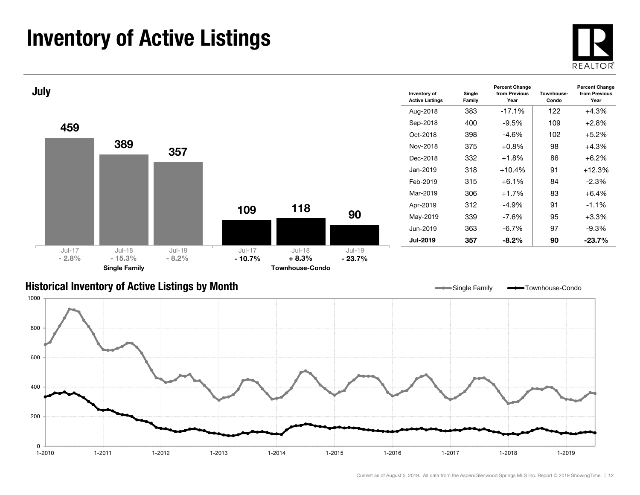### Inventory of Active Listings





#### Historical Inventory of Active Listings by Month



Single Family **-** Townhouse-Condo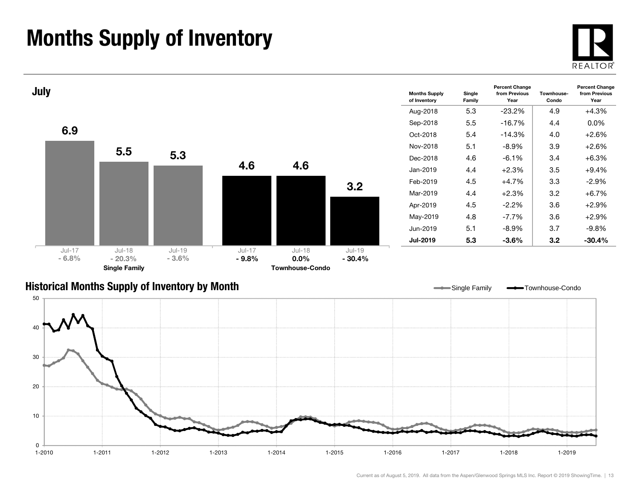### Months Supply of Inventory





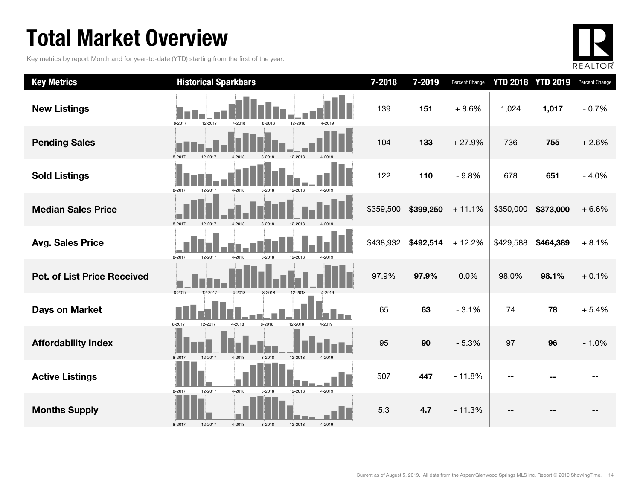### Total Market Overview

Key metrics by report Month and for year-to-date (YTD) starting from the first of the year.



| <b>Key Metrics</b>                 | <b>Historical Sparkbars</b>                                | 7-2018    | 7-2019    | Percent Change |           | <b>YTD 2018 YTD 2019</b> | Percent Change |
|------------------------------------|------------------------------------------------------------|-----------|-----------|----------------|-----------|--------------------------|----------------|
| <b>New Listings</b>                | 8-2017<br>12-2017<br>4-2018<br>8-2018<br>12-2018<br>4-2019 | 139       | 151       | $+8.6%$        | 1,024     | 1,017                    | $-0.7%$        |
| <b>Pending Sales</b>               | 8-2017<br>$12-20$<br>4-2018<br>12-2018                     | 104       | 133       | $+27.9%$       | 736       | 755                      | $+2.6%$        |
| <b>Sold Listings</b>               | 8-2017<br>12-2017<br>4-2018<br>8-2018<br>12-2018<br>4-2019 | 122       | 110       | $-9.8%$        | 678       | 651                      | $-4.0%$        |
| <b>Median Sales Price</b>          | 8-2017<br>12-2017<br>4-2018<br>8-2018<br>12-2018           | \$359,500 | \$399,250 | $+11.1%$       | \$350,000 | \$373,000                | $+6.6%$        |
| <b>Avg. Sales Price</b>            | 8-2017<br>12-2017<br>4-2018<br>8-2018<br>12-2018<br>4-2019 | \$438,932 | \$492,514 | $+12.2%$       | \$429,588 | \$464,389                | $+8.1%$        |
| <b>Pct. of List Price Received</b> | 8-2017<br>12-2017<br>4-2018<br>8-2018<br>12-2018           | 97.9%     | 97.9%     | 0.0%           | 98.0%     | 98.1%                    | $+0.1%$        |
| <b>Days on Market</b>              | 8-2018<br>12-2018<br>8-2017<br>4-2018<br>4-2019<br>12-2017 | 65        | 63        | $-3.1%$        | 74        | 78                       | $+5.4%$        |
| <b>Affordability Index</b>         | 12-2018<br>8-2017<br>12-2017<br>4-2018<br>8-2018<br>4-2019 | 95        | 90        | $-5.3%$        | 97        | 96                       | $-1.0%$        |
| <b>Active Listings</b>             | 12-2017<br>4-2018<br>12-2018<br>4-2019<br>8-2017<br>8-2018 | 507       | 447       | $-11.8%$       |           |                          |                |
| <b>Months Supply</b>               | 8-2017<br>4-2018<br>8-2018<br>12-2018<br>4-2019<br>12-2017 | 5.3       | 4.7       | $-11.3%$       |           |                          |                |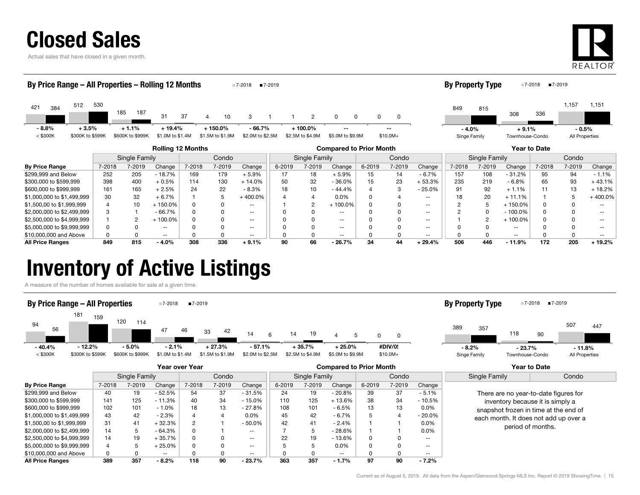| <b>Closed Sales</b> |  |
|---------------------|--|
|---------------------|--|

Actual sales that have closed in a given month.



| By Price Range – All Properties – Rolling 12 Months<br>■7-2019<br>■7-2018 |        |                             |                              |        |                               |                              |        | <b>By Property Type</b>       |                                |        | ■7-2019<br>■7-2018 |          |                         |               |                            |              |                           |           |
|---------------------------------------------------------------------------|--------|-----------------------------|------------------------------|--------|-------------------------------|------------------------------|--------|-------------------------------|--------------------------------|--------|--------------------|----------|-------------------------|---------------|----------------------------|--------------|---------------------------|-----------|
| 512<br>421<br>384                                                         | 530    | 185<br>187                  | 31                           | 37     | 10                            |                              |        | $\overline{2}$                | 0                              | 0      |                    |          | 849                     | 815           | 308                        | 336          | 1,157                     | 1,151     |
| $-8.8%$<br>$+3.5%$<br>$<$ \$300K<br>\$300K to \$599K                      |        | $+1.1%$<br>\$600K to \$999K | $+19.4%$<br>\$1.0M to \$1.4M |        | $+150.0%$<br>\$1.5M to \$1.9M | $-66.7%$<br>\$2.0M to \$2.5M |        | $+100.0%$<br>\$2.5M to \$4.9M | $- -$<br>\$5.0M to \$9.9M      |        | $- -$<br>$$10.0M+$ |          | $-4.0%$<br>Singe Family |               | $+9.1%$<br>Townhouse-Condo |              | $-0.5%$<br>All Properties |           |
|                                                                           |        |                             | <b>Rolling 12 Months</b>     |        |                               |                              |        |                               | <b>Compared to Prior Month</b> |        |                    |          |                         |               |                            | Year to Date |                           |           |
|                                                                           |        | Single Family               |                              |        | Condo                         |                              |        | Single Family                 |                                |        | Condo              |          |                         | Single Family |                            |              | Condo                     |           |
| <b>By Price Range</b>                                                     | 7-2018 | 7-2019                      | Change                       | 7-2018 | 7-2019                        | Change                       | 6-2019 | 7-2019                        | Change                         | 6-2019 | 7-2019             | Change   | 7-2018                  | 7-2019        | Change                     | 7-2018       | 7-2019                    | Change    |
| \$299,999 and Below                                                       | 252    | 205                         | $-18.7%$                     | 169    | 179                           | $+5.9%$                      | 17     | 18                            | $+5.9%$                        | 15     | 14                 | $-6.7%$  | 157                     | 108           | $-31.2%$                   | 95           | 94                        | $-1.1%$   |
| \$300,000 to \$599,999                                                    | 398    | 400                         | $+0.5%$                      | 114    | 130                           | $+14.0%$                     | 50     | 32                            | $-36.0%$                       | 15     | 23                 | $+53.3%$ | 235                     | 219           | $-6.8%$                    | 65           | 93                        | $+43.1%$  |
| \$600,000 to \$999,999                                                    | 161    | 165                         | $+2.5%$                      | 24     | 22                            | $-8.3%$                      | 18     | 10                            | $-44.4%$                       |        | 3                  | $-25.0%$ | 91                      | 92            | $+1.1%$                    | 11           | 13                        | $+18.2%$  |
| \$1,000,000 to \$1,499,999                                                | 30     | 32                          | $+6.7%$                      |        |                               | $+400.0\%$                   |        |                               | $0.0\%$                        |        |                    | $- -$    | 18                      | 20            | $+11.1%$                   |              |                           | $+400.0%$ |

\$1,500,00 to \$1,999,999 4 10 + 150.0% 0 0 -- 1 2 + 100.0% 0 0 -- 2 5 + 150.0% 0 0 -- \$2,000,000 to \$2,499,999 3 1 - 66.7% 0 0 -- 0 0 -- 0 0 -- 2 0 - 100.0% 0 0 -- \$2,500,000 to \$4,999,999 1 2 + 100.0% 0 0 -- 0 0 -- 0 0 -- 1 2 + 100.0% 0 0 -- \$5,000,000 to \$9,999,999 **distribution of the CONT CONTENT CONTENT CONTENT CONTENT CONTENT CONTENT CONTENT CONTENT CONTENT CONTENT CONTENT CONTENT CONTENT CONTENT CONTENT CONTENT CONTENT CONTENT CONTENT CONTENT CONTENT CON** \$10,000,000 and Above 0 0 -- 0 0 -- 0 0 -- 0 0 -- 0 0 -- 0 0 -- All Price Ranges 849 815 - 4.0% 308 336 + 9.1% 90 66 - 26.7% 34 44 + 29.4% 506 446 - 11.9% 172 205 + 19.2%

### Inventory of Active Listings

A measure of the number of homes available for sale at a given time.



|                            | Year over Year |               |               |        |        |                          |        |                        | <b>Compared to Prior Month</b> |             |        | <b>Year to Date</b> |                                                                                                                                                                                  |  |
|----------------------------|----------------|---------------|---------------|--------|--------|--------------------------|--------|------------------------|--------------------------------|-------------|--------|---------------------|----------------------------------------------------------------------------------------------------------------------------------------------------------------------------------|--|
|                            |                | Single Family |               |        | Condo  |                          |        | Single Family<br>Condo |                                |             |        | Single Family       | Condo                                                                                                                                                                            |  |
| <b>By Price Range</b>      | 7-2018         | 7-2019        | Change        | 7-2018 | 7-2019 | Change                   | 6-2019 | 7-2019                 | Change                         | 6-2019      | 7-2019 | Change              |                                                                                                                                                                                  |  |
| \$299,999 and Below        | 40             | 19            | - 52.5%       | 54     | 37     | $-31.5%$                 | 24     | 19                     | $-20.8%$                       | 39          | 37     | $-5.1%$             | There are no year-to-date figures for<br>inventory because it is simply a<br>snapshot frozen in time at the end of<br>each month. It does not add up over a<br>period of months. |  |
| \$300,000 to \$599,999     | 141            | 125           | $-11.3%$      | 40     | 34     | $-15.0%$                 | 110    | 125                    | $+13.6%$                       | 38          | 34     | - 10.5%             |                                                                                                                                                                                  |  |
| \$600,000 to \$999,999     | 102            | 101           | $-1.0%$       | 18     | 13     | $-27.8%$                 | 108    | 101                    | $-6.5%$                        | 13          | 13     | $0.0\%$             |                                                                                                                                                                                  |  |
| \$1,000,000 to \$1,499,999 | 43             | 42            | $-2.3%$       | Δ      |        | $0.0\%$                  | 45     | 42                     | - 6.7%                         | $\mathbf b$ |        | $-20.0\%$           |                                                                                                                                                                                  |  |
| \$1,500,00 to \$1,999,999  | 31             | 41            | - 32.3%       |        |        | $-50.0%$                 | 42     | 41                     | $-2.4%$                        |             |        | $0.0\%$             |                                                                                                                                                                                  |  |
| \$2,000,000 to \$2,499,999 | 14             | b             | $-64.3%$      | 0      |        | $\sim$ $\sim$            |        |                        | $-28.6%$                       |             |        | $0.0\%$             |                                                                                                                                                                                  |  |
| \$2,500,000 to \$4,999,999 | 14             | 19            | + 35.7%       | 0      |        | $\overline{\phantom{a}}$ | 22     | 19                     | $-13.6%$                       | 0           | o      | $- -$               |                                                                                                                                                                                  |  |
| \$5,000,000 to \$9,999,999 |                |               | 25.0%         | 0      |        | $\overline{\phantom{a}}$ |        |                        | 0.0%                           | 0           | n      | $\sim$ $\sim$       |                                                                                                                                                                                  |  |
| \$10,000,000 and Above     | $\Omega$       |               | $\sim$ $\sim$ |        |        | $\sim$ $\sim$            |        |                        | $\overline{\phantom{m}}$       |             |        | $\sim$ $\sim$       |                                                                                                                                                                                  |  |
| <b>All Price Ranges</b>    | 389            | 357           | $-8.2%$       | 118    | 90     | $-23.7%$                 | 363    | 357                    | $-1.7%$                        | 97          | 90     | $-7.2%$             |                                                                                                                                                                                  |  |